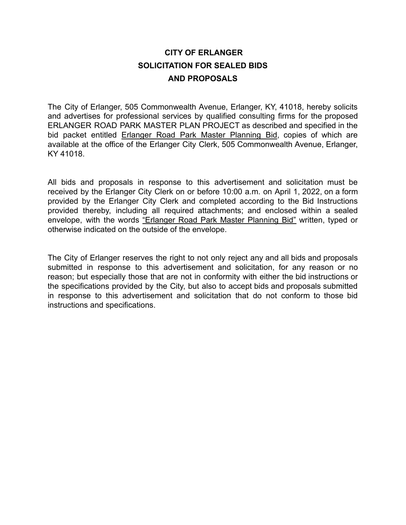# **CITY OF ERLANGER SOLICITATION FOR SEALED BIDS AND PROPOSALS**

The City of Erlanger, 505 Commonwealth Avenue, Erlanger, KY, 41018, hereby solicits and advertises for professional services by qualified consulting firms for the proposed ERLANGER ROAD PARK MASTER PLAN PROJECT as described and specified in the bid packet entitled Erlanger Road Park Master Planning Bid, copies of which are available at the office of the Erlanger City Clerk, 505 Commonwealth Avenue, Erlanger, KY 41018.

All bids and proposals in response to this advertisement and solicitation must be received by the Erlanger City Clerk on or before 10:00 a.m. on April 1, 2022, on a form provided by the Erlanger City Clerk and completed according to the Bid Instructions provided thereby, including all required attachments; and enclosed within a sealed envelope, with the words "Erlanger Road Park Master Planning Bid" written, typed or otherwise indicated on the outside of the envelope.

The City of Erlanger reserves the right to not only reject any and all bids and proposals submitted in response to this advertisement and solicitation, for any reason or no reason; but especially those that are not in conformity with either the bid instructions or the specifications provided by the City, but also to accept bids and proposals submitted in response to this advertisement and solicitation that do not conform to those bid instructions and specifications.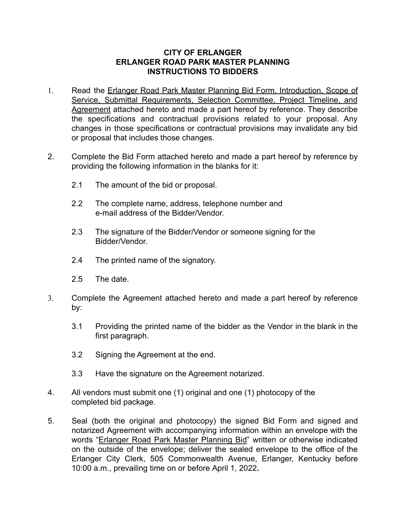# **CITY OF ERLANGER ERLANGER ROAD PARK MASTER PLANNING INSTRUCTIONS TO BIDDERS**

- 1. Read the Erlanger Road Park Master Planning Bid Form, Introduction, Scope of Service, Submittal Requirements, Selection Committee, Project Timeline, and Agreement attached hereto and made a part hereof by reference. They describe the specifications and contractual provisions related to your proposal. Any changes in those specifications or contractual provisions may invalidate any bid or proposal that includes those changes.
- 2. Complete the Bid Form attached hereto and made a part hereof by reference by providing the following information in the blanks for it:
	- 2.1 The amount of the bid or proposal.
	- 2.2 The complete name, address, telephone number and e-mail address of the Bidder/Vendor.
	- 2.3 The signature of the Bidder/Vendor or someone signing for the Bidder/Vendor.
	- 2.4 The printed name of the signatory.
	- 2.5 The date.
- 3. Complete the Agreement attached hereto and made a part hereof by reference by:
	- 3.1 Providing the printed name of the bidder as the Vendor in the blank in the first paragraph.
	- 3.2 Signing the Agreement at the end.
	- 3.3 Have the signature on the Agreement notarized.
- 4. All vendors must submit one (1) original and one (1) photocopy of the completed bid package.
- 5. Seal (both the original and photocopy) the signed Bid Form and signed and notarized Agreement with accompanying information within an envelope with the words "Erlanger Road Park Master Planning Bid" written or otherwise indicated on the outside of the envelope; deliver the sealed envelope to the office of the Erlanger City Clerk, 505 Commonwealth Avenue, Erlanger, Kentucky before 10:00 a.m., prevailing time on or before April 1, 2022**.**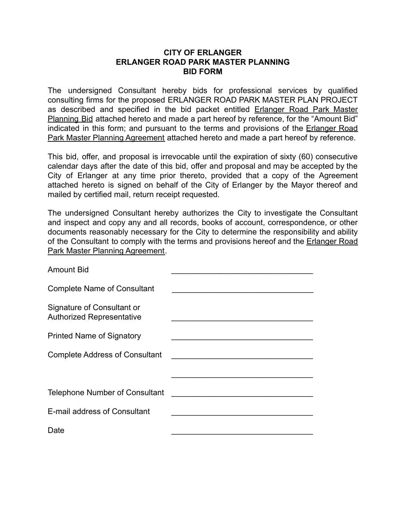#### **CITY OF ERLANGER ERLANGER ROAD PARK MASTER PLANNING BID FORM**

The undersigned Consultant hereby bids for professional services by qualified consulting firms for the proposed ERLANGER ROAD PARK MASTER PLAN PROJECT as described and specified in the bid packet entitled Erlanger Road Park Master Planning Bid attached hereto and made a part hereof by reference, for the "Amount Bid" indicated in this form; and pursuant to the terms and provisions of the Erlanger Road Park Master Planning Agreement attached hereto and made a part hereof by reference.

This bid, offer, and proposal is irrevocable until the expiration of sixty (60) consecutive calendar days after the date of this bid, offer and proposal and may be accepted by the City of Erlanger at any time prior thereto, provided that a copy of the Agreement attached hereto is signed on behalf of the City of Erlanger by the Mayor thereof and mailed by certified mail, return receipt requested.

The undersigned Consultant hereby authorizes the City to investigate the Consultant and inspect and copy any and all records, books of account, correspondence, or other documents reasonably necessary for the City to determine the responsibility and ability of the Consultant to comply with the terms and provisions hereof and the Erlanger Road Park Master Planning Agreement.

| Amount Bid                                                     |  |
|----------------------------------------------------------------|--|
| <b>Complete Name of Consultant</b>                             |  |
| Signature of Consultant or<br><b>Authorized Representative</b> |  |
| <b>Printed Name of Signatory</b>                               |  |
| <b>Complete Address of Consultant</b>                          |  |
|                                                                |  |
| <b>Telephone Number of Consultant</b>                          |  |
| E-mail address of Consultant                                   |  |
| Date                                                           |  |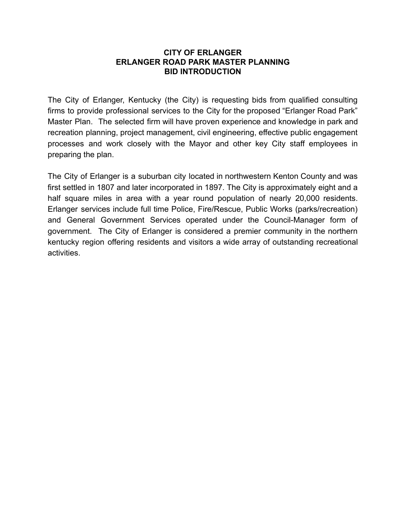# **CITY OF ERLANGER ERLANGER ROAD PARK MASTER PLANNING BID INTRODUCTION**

The City of Erlanger, Kentucky (the City) is requesting bids from qualified consulting firms to provide professional services to the City for the proposed "Erlanger Road Park" Master Plan. The selected firm will have proven experience and knowledge in park and recreation planning, project management, civil engineering, effective public engagement processes and work closely with the Mayor and other key City staff employees in preparing the plan.

The City of Erlanger is a suburban city located in northwestern Kenton County and was first settled in 1807 and later incorporated in 1897. The City is approximately eight and a half square miles in area with a year round population of nearly 20,000 residents. Erlanger services include full time Police, Fire/Rescue, Public Works (parks/recreation) and General Government Services operated under the Council-Manager form of government. The City of Erlanger is considered a premier community in the northern kentucky region offering residents and visitors a wide array of outstanding recreational activities.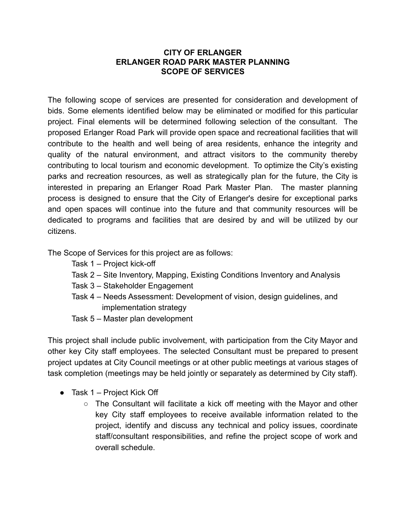# **CITY OF ERLANGER ERLANGER ROAD PARK MASTER PLANNING SCOPE OF SERVICES**

The following scope of services are presented for consideration and development of bids. Some elements identified below may be eliminated or modified for this particular project. Final elements will be determined following selection of the consultant. The proposed Erlanger Road Park will provide open space and recreational facilities that will contribute to the health and well being of area residents, enhance the integrity and quality of the natural environment, and attract visitors to the community thereby contributing to local tourism and economic development. To optimize the City's existing parks and recreation resources, as well as strategically plan for the future, the City is interested in preparing an Erlanger Road Park Master Plan. The master planning process is designed to ensure that the City of Erlanger's desire for exceptional parks and open spaces will continue into the future and that community resources will be dedicated to programs and facilities that are desired by and will be utilized by our citizens.

The Scope of Services for this project are as follows:

- Task 1 Project kick-off
- Task 2 Site Inventory, Mapping, Existing Conditions Inventory and Analysis
- Task 3 Stakeholder Engagement
- Task 4 Needs Assessment: Development of vision, design guidelines, and implementation strategy
- Task 5 Master plan development

This project shall include public involvement, with participation from the City Mayor and other key City staff employees. The selected Consultant must be prepared to present project updates at City Council meetings or at other public meetings at various stages of task completion (meetings may be held jointly or separately as determined by City staff).

- $\bullet$  Task 1 Project Kick Off
	- $\circ$  The Consultant will facilitate a kick off meeting with the Mayor and other key City staff employees to receive available information related to the project, identify and discuss any technical and policy issues, coordinate staff/consultant responsibilities, and refine the project scope of work and overall schedule.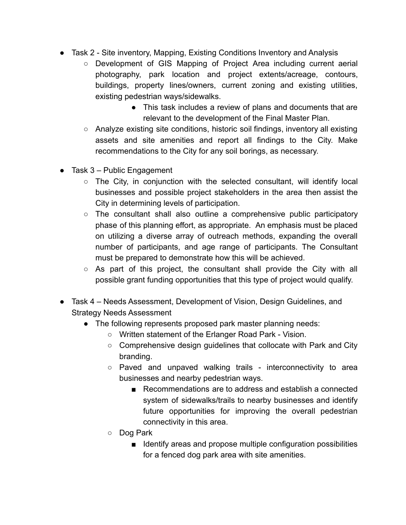- Task 2 Site inventory, Mapping, Existing Conditions Inventory and Analysis
	- Development of GIS Mapping of Project Area including current aerial photography, park location and project extents/acreage, contours, buildings, property lines/owners, current zoning and existing utilities, existing pedestrian ways/sidewalks.
		- This task includes a review of plans and documents that are relevant to the development of the Final Master Plan.
	- Analyze existing site conditions, historic soil findings, inventory all existing assets and site amenities and report all findings to the City. Make recommendations to the City for any soil borings, as necessary.
- $\bullet$  Task 3 Public Engagement
	- $\circ$  The City, in conjunction with the selected consultant, will identify local businesses and possible project stakeholders in the area then assist the City in determining levels of participation.
	- The consultant shall also outline a comprehensive public participatory phase of this planning effort, as appropriate. An emphasis must be placed on utilizing a diverse array of outreach methods, expanding the overall number of participants, and age range of participants. The Consultant must be prepared to demonstrate how this will be achieved.
	- $\circ$  As part of this project, the consultant shall provide the City with all possible grant funding opportunities that this type of project would qualify.
- Task 4 Needs Assessment, Development of Vision, Design Guidelines, and Strategy Needs Assessment
	- The following represents proposed park master planning needs:
		- Written statement of the Erlanger Road Park Vision.
		- Comprehensive design guidelines that collocate with Park and City branding.
		- Paved and unpaved walking trails interconnectivity to area businesses and nearby pedestrian ways.
			- Recommendations are to address and establish a connected system of sidewalks/trails to nearby businesses and identify future opportunities for improving the overall pedestrian connectivity in this area.
		- Dog Park
			- Identify areas and propose multiple configuration possibilities for a fenced dog park area with site amenities.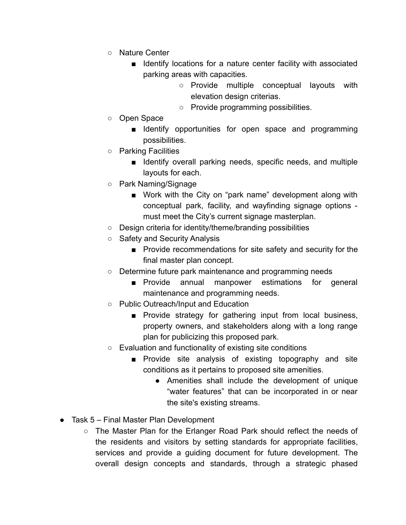- Nature Center
	- Identify locations for a nature center facility with associated parking areas with capacities.
		- Provide multiple conceptual layouts with elevation design criterias.
		- Provide programming possibilities.
- Open Space
	- Identify opportunities for open space and programming possibilities.
- Parking Facilities
	- Identify overall parking needs, specific needs, and multiple layouts for each.
- Park Naming/Signage
	- Work with the City on "park name" development along with conceptual park, facility, and wayfinding signage options must meet the City's current signage masterplan.
- Design criteria for identity/theme/branding possibilities
- Safety and Security Analysis
	- Provide recommendations for site safety and security for the final master plan concept.
- Determine future park maintenance and programming needs
	- Provide annual manpower estimations for general maintenance and programming needs.
- Public Outreach/Input and Education
	- Provide strategy for gathering input from local business, property owners, and stakeholders along with a long range plan for publicizing this proposed park.
- Evaluation and functionality of existing site conditions
	- Provide site analysis of existing topography and site conditions as it pertains to proposed site amenities.
		- Amenities shall include the development of unique "water features" that can be incorporated in or near the site's existing streams.
- Task 5 Final Master Plan Development
	- The Master Plan for the Erlanger Road Park should reflect the needs of the residents and visitors by setting standards for appropriate facilities, services and provide a guiding document for future development. The overall design concepts and standards, through a strategic phased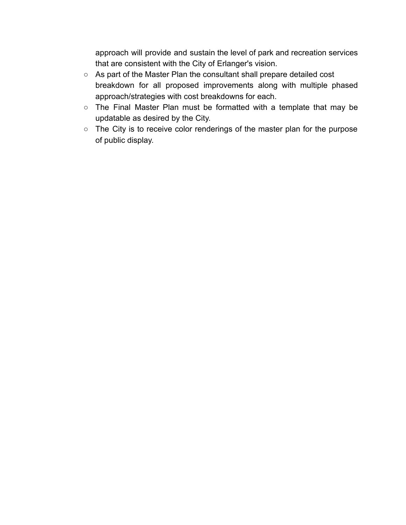approach will provide and sustain the level of park and recreation services that are consistent with the City of Erlanger's vision.

- As part of the Master Plan the consultant shall prepare detailed cost breakdown for all proposed improvements along with multiple phased approach/strategies with cost breakdowns for each.
- The Final Master Plan must be formatted with a template that may be updatable as desired by the City.
- The City is to receive color renderings of the master plan for the purpose of public display.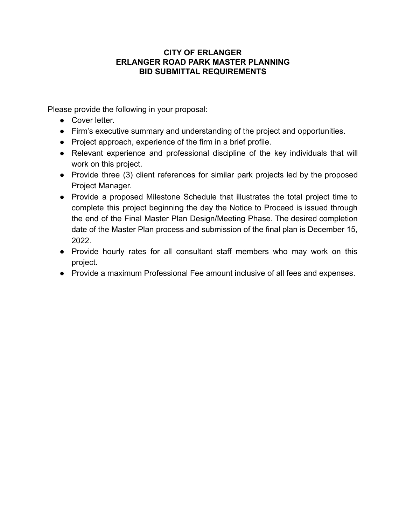# **CITY OF ERLANGER ERLANGER ROAD PARK MASTER PLANNING BID SUBMITTAL REQUIREMENTS**

Please provide the following in your proposal:

- Cover letter.
- Firm's executive summary and understanding of the project and opportunities.
- Project approach, experience of the firm in a brief profile.
- Relevant experience and professional discipline of the key individuals that will work on this project.
- Provide three (3) client references for similar park projects led by the proposed Project Manager.
- Provide a proposed Milestone Schedule that illustrates the total project time to complete this project beginning the day the Notice to Proceed is issued through the end of the Final Master Plan Design/Meeting Phase. The desired completion date of the Master Plan process and submission of the final plan is December 15, 2022.
- Provide hourly rates for all consultant staff members who may work on this project.
- Provide a maximum Professional Fee amount inclusive of all fees and expenses.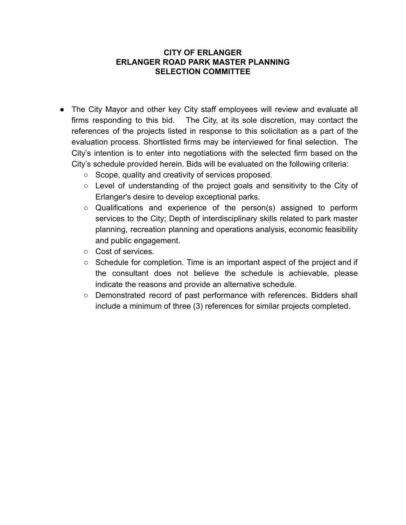### **CITY OF ERLANGER ERLANGER ROAD PARK MASTER PLANNING SELECTION COMMITTEE**

- The City Mayor and other key City staff employees will review and evaluate all firms responding to this bid. The City, at its sole discretion, may contact the references of the projects listed in response to this solicitation as a part of the evaluation process. Shortlisted firms may be interviewed for final selection. The City's intention is to enter into negotiations with the selected firm based on the City's schedule provided herein. Bids will be evaluated on the following criteria:
	- Scope, quality and creativity of services proposed.
	- Level of understanding of the project goals and sensitivity to the City of Erlanger's desire to develop exceptional parks.
	- Qualifications and experience of the person(s) assigned to perform services to the City; Depth of interdisciplinary skills related to park master planning, recreation planning and operations analysis, economic feasibility and public engagement.
	- Cost of services.
	- Schedule for completion. Time is an important aspect of the project and if the consultant does not believe the schedule is achievable, please indicate the reasons and provide an alternative schedule.
	- Demonstrated record of past performance with references. Bidders shall include a minimum of three (3) references for similar projects completed.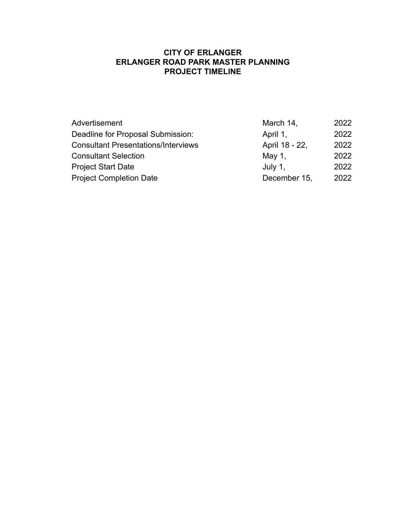# **CITY OF ERLANGER ERLANGER ROAD PARK MASTER PLANNING PROJECT TIMELINE**

| Advertisement                              | March 14,      | 2022 |
|--------------------------------------------|----------------|------|
| Deadline for Proposal Submission:          | April 1,       | 2022 |
| <b>Consultant Presentations/Interviews</b> | April 18 - 22, | 2022 |
| <b>Consultant Selection</b>                | May 1,         | 2022 |
| <b>Project Start Date</b>                  | July 1,        | 2022 |
| <b>Project Completion Date</b>             | December 15,   | 2022 |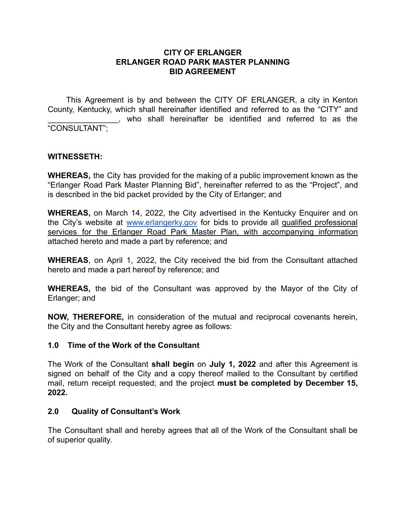# **CITY OF ERLANGER ERLANGER ROAD PARK MASTER PLANNING BID AGREEMENT**

This Agreement is by and between the CITY OF ERLANGER, a city in Kenton County, Kentucky, which shall hereinafter identified and referred to as the "CITY" and \_\_\_\_\_\_\_\_\_\_\_\_\_\_\_\_, who shall hereinafter be identified and referred to as the "CONSULTANT";

# **WITNESSETH:**

**WHEREAS,** the City has provided for the making of a public improvement known as the "Erlanger Road Park Master Planning Bid", hereinafter referred to as the "Project", and is described in the bid packet provided by the City of Erlanger; and

**WHEREAS,** on March 14, 2022, the City advertised in the Kentucky Enquirer and on the City's website at [www.erlangerky.gov](http://www.erlangerky.gov) for bids to provide all qualified professional services for the Erlanger Road Park Master Plan, with accompanying information attached hereto and made a part by reference; and

**WHEREAS**, on April 1, 2022, the City received the bid from the Consultant attached hereto and made a part hereof by reference; and

**WHEREAS,** the bid of the Consultant was approved by the Mayor of the City of Erlanger; and

**NOW, THEREFORE,** in consideration of the mutual and reciprocal covenants herein, the City and the Consultant hereby agree as follows:

#### **1.0 Time of the Work of the Consultant**

The Work of the Consultant **shall begin** on **July 1, 2022** and after this Agreement is signed on behalf of the City and a copy thereof mailed to the Consultant by certified mail, return receipt requested; and the project **must be completed by December 15, 2022.**

#### **2.0 Quality of Consultant's Work**

The Consultant shall and hereby agrees that all of the Work of the Consultant shall be of superior quality.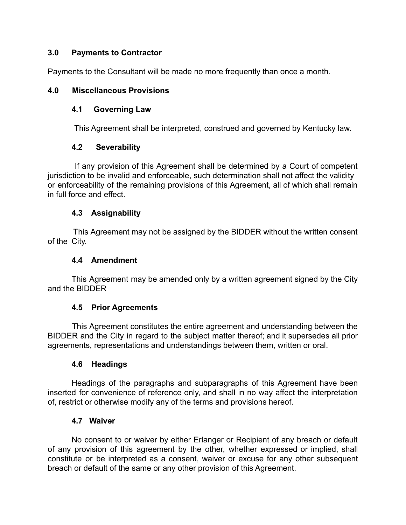# **3.0 Payments to Contractor**

Payments to the Consultant will be made no more frequently than once a month.

# **4.0 Miscellaneous Provisions**

# **4.1 Governing Law**

This Agreement shall be interpreted, construed and governed by Kentucky law.

# **4.2 Severability**

If any provision of this Agreement shall be determined by a Court of competent jurisdiction to be invalid and enforceable, such determination shall not affect the validity or enforceability of the remaining provisions of this Agreement, all of which shall remain in full force and effect.

# **4.3 Assignability**

This Agreement may not be assigned by the BIDDER without the written consent of the City.

# **4.4 Amendment**

This Agreement may be amended only by a written agreement signed by the City and the BIDDER

# **4.5 Prior Agreements**

This Agreement constitutes the entire agreement and understanding between the BIDDER and the City in regard to the subject matter thereof; and it supersedes all prior agreements, representations and understandings between them, written or oral.

# **4.6 Headings**

Headings of the paragraphs and subparagraphs of this Agreement have been inserted for convenience of reference only, and shall in no way affect the interpretation of, restrict or otherwise modify any of the terms and provisions hereof.

# **4.7 Waiver**

No consent to or waiver by either Erlanger or Recipient of any breach or default of any provision of this agreement by the other, whether expressed or implied, shall constitute or be interpreted as a consent, waiver or excuse for any other subsequent breach or default of the same or any other provision of this Agreement.